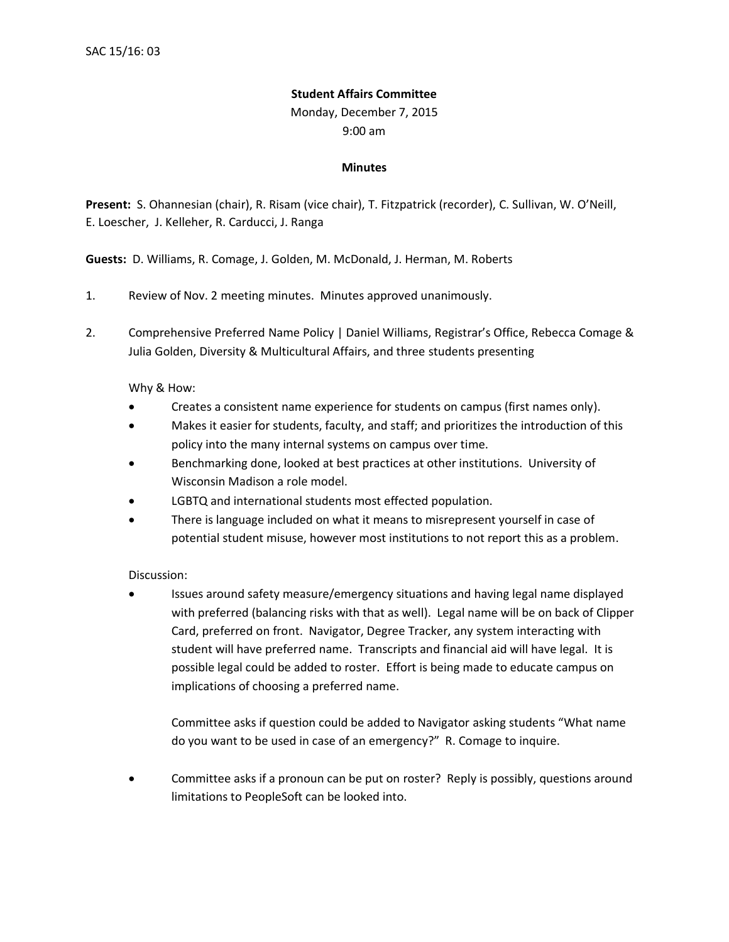## **Student Affairs Committee**

Monday, December 7, 2015

9:00 am

## **Minutes**

**Present:** S. Ohannesian (chair), R. Risam (vice chair), T. Fitzpatrick (recorder), C. Sullivan, W. O'Neill, E. Loescher, J. Kelleher, R. Carducci, J. Ranga

**Guests:** D. Williams, R. Comage, J. Golden, M. McDonald, J. Herman, M. Roberts

- 1. Review of Nov. 2 meeting minutes. Minutes approved unanimously.
- 2. Comprehensive Preferred Name Policy | Daniel Williams, Registrar's Office, Rebecca Comage & Julia Golden, Diversity & Multicultural Affairs, and three students presenting

Why & How:

- Creates a consistent name experience for students on campus (first names only).
- Makes it easier for students, faculty, and staff; and prioritizes the introduction of this policy into the many internal systems on campus over time.
- Benchmarking done, looked at best practices at other institutions. University of Wisconsin Madison a role model.
- LGBTQ and international students most effected population.
- There is language included on what it means to misrepresent yourself in case of potential student misuse, however most institutions to not report this as a problem.

Discussion:

• Issues around safety measure/emergency situations and having legal name displayed with preferred (balancing risks with that as well). Legal name will be on back of Clipper Card, preferred on front. Navigator, Degree Tracker, any system interacting with student will have preferred name. Transcripts and financial aid will have legal. It is possible legal could be added to roster. Effort is being made to educate campus on implications of choosing a preferred name.

Committee asks if question could be added to Navigator asking students "What name do you want to be used in case of an emergency?" R. Comage to inquire.

• Committee asks if a pronoun can be put on roster? Reply is possibly, questions around limitations to PeopleSoft can be looked into.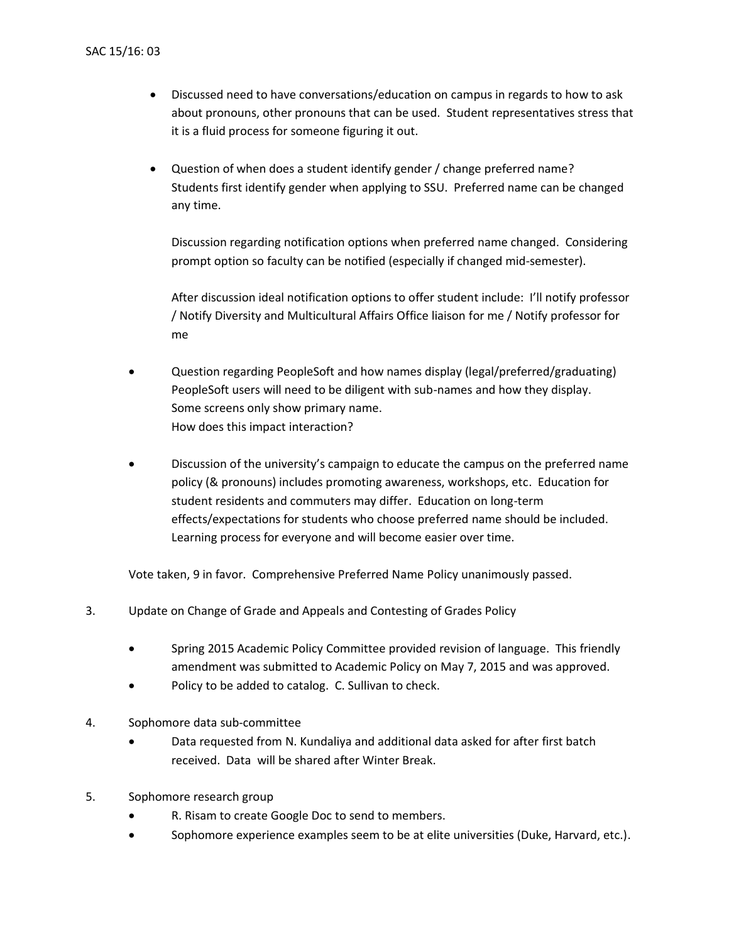- Discussed need to have conversations/education on campus in regards to how to ask about pronouns, other pronouns that can be used. Student representatives stress that it is a fluid process for someone figuring it out.
- Question of when does a student identify gender / change preferred name? Students first identify gender when applying to SSU. Preferred name can be changed any time.

Discussion regarding notification options when preferred name changed. Considering prompt option so faculty can be notified (especially if changed mid-semester).

After discussion ideal notification options to offer student include: I'll notify professor / Notify Diversity and Multicultural Affairs Office liaison for me / Notify professor for me

- Question regarding PeopleSoft and how names display (legal/preferred/graduating) PeopleSoft users will need to be diligent with sub-names and how they display. Some screens only show primary name. How does this impact interaction?
- Discussion of the university's campaign to educate the campus on the preferred name policy (& pronouns) includes promoting awareness, workshops, etc. Education for student residents and commuters may differ. Education on long-term effects/expectations for students who choose preferred name should be included. Learning process for everyone and will become easier over time.

Vote taken, 9 in favor. Comprehensive Preferred Name Policy unanimously passed.

- 3. Update on Change of Grade and Appeals and Contesting of Grades Policy
	- Spring 2015 Academic Policy Committee provided revision of language. This friendly amendment was submitted to Academic Policy on May 7, 2015 and was approved.
	- Policy to be added to catalog. C. Sullivan to check.
- 4. Sophomore data sub-committee
	- Data requested from N. Kundaliya and additional data asked for after first batch received. Data will be shared after Winter Break.
- 5. Sophomore research group
	- R. Risam to create Google Doc to send to members.
	- Sophomore experience examples seem to be at elite universities (Duke, Harvard, etc.).